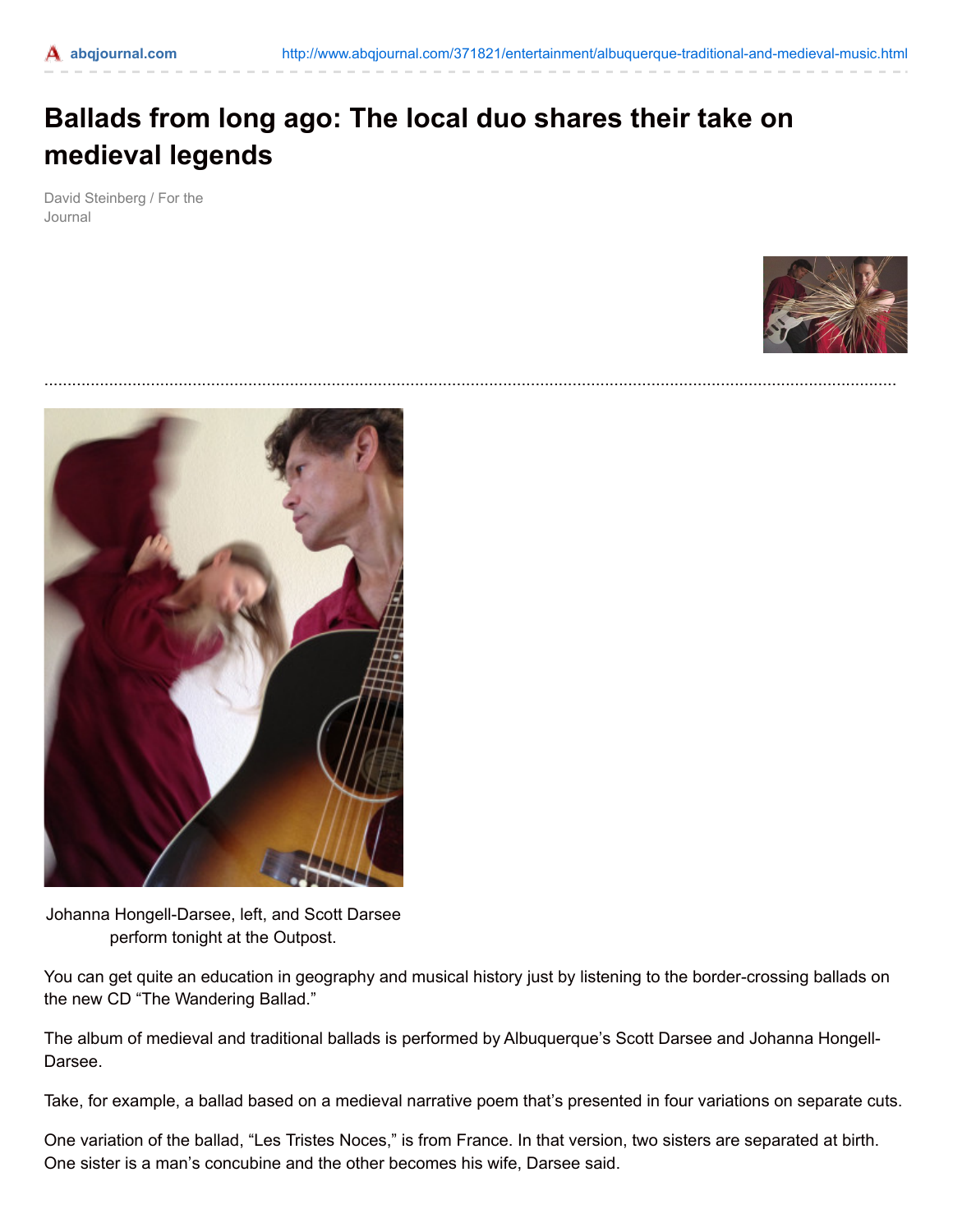## **Ballads from long ago: The local duo shares their take on medieval legends**

David Steinberg / For the Journal





Johanna Hongell-Darsee, left, and Scott Darsee perform tonight at the Outpost.

You can get quite an education in geography and musical history just by listening to the border-crossing ballads on the new CD "The Wandering Ballad."

The album of medieval and traditional ballads is performed by Albuquerque's Scott Darsee and Johanna Hongell-Darsee.

Take, for example, a ballad based on a medieval narrative poem that's presented in four variations on separate cuts.

One variation of the ballad, "Les Tristes Noces," is from France. In that version, two sisters are separated at birth. One sister is a man's concubine and the other becomes his wife, Darsee said.